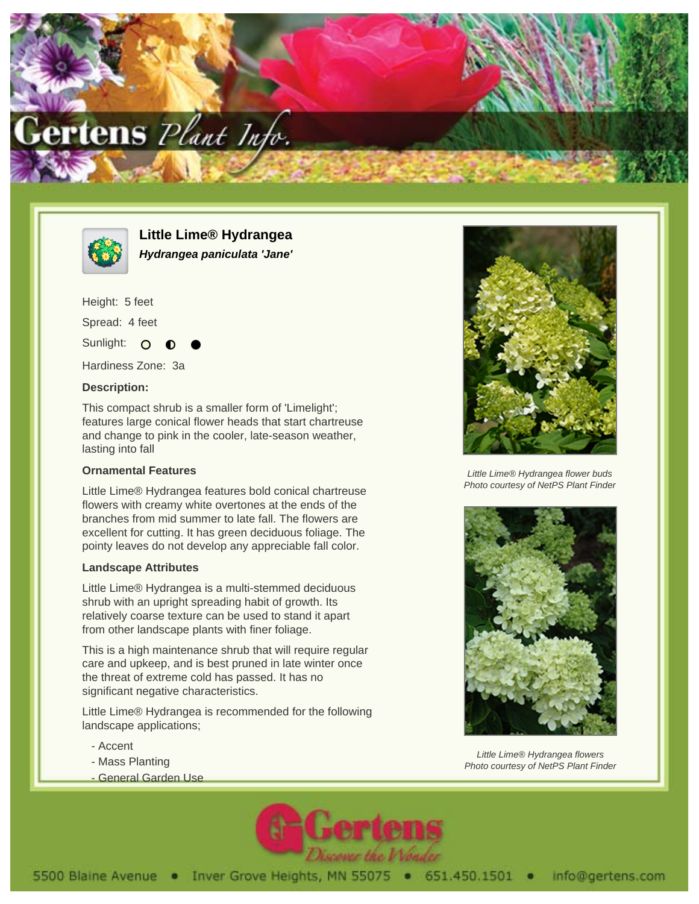



**Little Lime® Hydrangea Hydrangea paniculata 'Jane'**

Height: 5 feet Spread: 4 feet

Sunlight: O

Hardiness Zone: 3a

## **Description:**

This compact shrub is a smaller form of 'Limelight'; features large conical flower heads that start chartreuse and change to pink in the cooler, late-season weather, lasting into fall

## **Ornamental Features**

Little Lime® Hydrangea features bold conical chartreuse flowers with creamy white overtones at the ends of the branches from mid summer to late fall. The flowers are excellent for cutting. It has green deciduous foliage. The pointy leaves do not develop any appreciable fall color.

## **Landscape Attributes**

Little Lime® Hydrangea is a multi-stemmed deciduous shrub with an upright spreading habit of growth. Its relatively coarse texture can be used to stand it apart from other landscape plants with finer foliage.

This is a high maintenance shrub that will require regular care and upkeep, and is best pruned in late winter once the threat of extreme cold has passed. It has no significant negative characteristics.

Little Lime® Hydrangea is recommended for the following landscape applications;

- Accent
- Mass Planting
- General Garden Use





Little Lime® Hydrangea flower buds Photo courtesy of NetPS Plant Finder



Little Lime® Hydrangea flowers Photo courtesy of NetPS Plant Finder